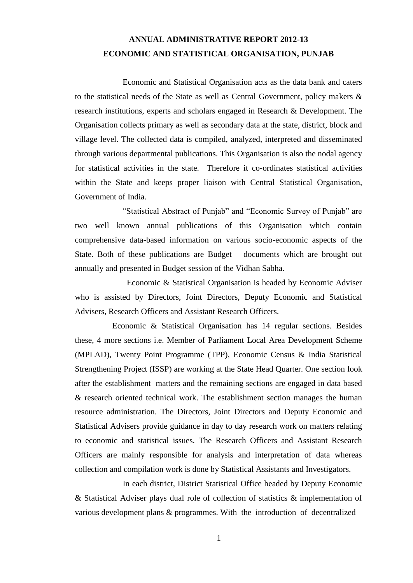### **ANNUAL ADMINISTRATIVE REPORT 2012-13 ECONOMIC AND STATISTICAL ORGANISATION, PUNJAB**

 Economic and Statistical Organisation acts as the data bank and caters to the statistical needs of the State as well as Central Government, policy makers & research institutions, experts and scholars engaged in Research & Development. The Organisation collects primary as well as secondary data at the state, district, block and village level. The collected data is compiled, analyzed, interpreted and disseminated through various departmental publications. This Organisation is also the nodal agency for statistical activities in the state. Therefore it co-ordinates statistical activities within the State and keeps proper liaison with Central Statistical Organisation, Government of India.

 "Statistical Abstract of Punjab" and "Economic Survey of Punjab" are two well known annual publications of this Organisation which contain comprehensive data-based information on various socio-economic aspects of the State. Both of these publications are Budget documents which are brought out annually and presented in Budget session of the Vidhan Sabha.

 Economic & Statistical Organisation is headed by Economic Adviser who is assisted by Directors, Joint Directors, Deputy Economic and Statistical Advisers, Research Officers and Assistant Research Officers.

 Economic & Statistical Organisation has 14 regular sections. Besides these, 4 more sections i.e. Member of Parliament Local Area Development Scheme (MPLAD), Twenty Point Programme (TPP), Economic Census & India Statistical Strengthening Project (ISSP) are working at the State Head Quarter. One section look after the establishment matters and the remaining sections are engaged in data based & research oriented technical work. The establishment section manages the human resource administration. The Directors, Joint Directors and Deputy Economic and Statistical Advisers provide guidance in day to day research work on matters relating to economic and statistical issues. The Research Officers and Assistant Research Officers are mainly responsible for analysis and interpretation of data whereas collection and compilation work is done by Statistical Assistants and Investigators.

 In each district, District Statistical Office headed by Deputy Economic & Statistical Adviser plays dual role of collection of statistics & implementation of various development plans & programmes. With the introduction of decentralized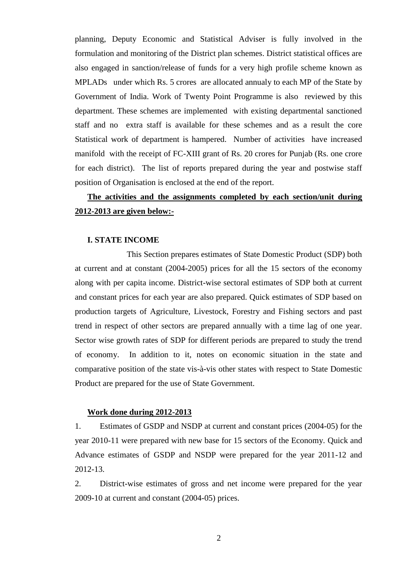planning, Deputy Economic and Statistical Adviser is fully involved in the formulation and monitoring of the District plan schemes. District statistical offices are also engaged in sanction/release of funds for a very high profile scheme known as MPLADs under which Rs. 5 crores are allocated annualy to each MP of the State by Government of India. Work of Twenty Point Programme is also reviewed by this department. These schemes are implemented with existing departmental sanctioned staff and no extra staff is available for these schemes and as a result the core Statistical work of department is hampered. Number of activities have increased manifold with the receipt of FC-XIII grant of Rs. 20 crores for Punjab (Rs. one crore for each district). The list of reports prepared during the year and postwise staff position of Organisation is enclosed at the end of the report.

# **The activities and the assignments completed by each section/unit during 2012-2013 are given below:-**

#### **I. STATE INCOME**

 This Section prepares estimates of State Domestic Product (SDP) both at current and at constant (2004-2005) prices for all the 15 sectors of the economy along with per capita income. District-wise sectoral estimates of SDP both at current and constant prices for each year are also prepared. Quick estimates of SDP based on production targets of Agriculture, Livestock, Forestry and Fishing sectors and past trend in respect of other sectors are prepared annually with a time lag of one year. Sector wise growth rates of SDP for different periods are prepared to study the trend of economy. In addition to it, notes on economic situation in the state and comparative position of the state vis-à-vis other states with respect to State Domestic Product are prepared for the use of State Government.

#### **Work done during 2012-2013**

1. Estimates of GSDP and NSDP at current and constant prices (2004-05) for the year 2010-11 were prepared with new base for 15 sectors of the Economy. Quick and Advance estimates of GSDP and NSDP were prepared for the year 2011-12 and 2012-13.

2. District-wise estimates of gross and net income were prepared for the year 2009-10 at current and constant (2004-05) prices.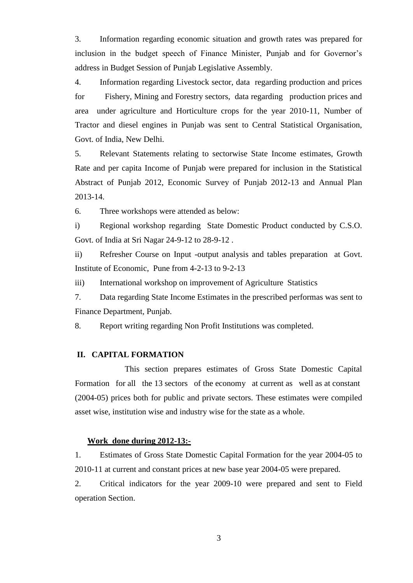3. Information regarding economic situation and growth rates was prepared for inclusion in the budget speech of Finance Minister, Punjab and for Governor's address in Budget Session of Punjab Legislative Assembly.

4. Information regarding Livestock sector, data regarding production and prices for Fishery, Mining and Forestry sectors, data regarding production prices and area under agriculture and Horticulture crops for the year 2010-11, Number of Tractor and diesel engines in Punjab was sent to Central Statistical Organisation, Govt. of India, New Delhi.

5. Relevant Statements relating to sectorwise State Income estimates, Growth Rate and per capita Income of Punjab were prepared for inclusion in the Statistical Abstract of Punjab 2012, Economic Survey of Punjab 2012-13 and Annual Plan 2013-14.

6. Three workshops were attended as below:

i) Regional workshop regarding State Domestic Product conducted by C.S.O. Govt. of India at Sri Nagar 24-9-12 to 28-9-12 .

ii) Refresher Course on Input -output analysis and tables preparation at Govt. Institute of Economic, Pune from 4-2-13 to 9-2-13

iii) International workshop on improvement of Agriculture Statistics

7. Data regarding State Income Estimates in the prescribed performas was sent to Finance Department, Punjab.

8. Report writing regarding Non Profit Institutions was completed.

#### **II. CAPITAL FORMATION**

 This section prepares estimates of Gross State Domestic Capital Formation for all the 13 sectors of the economy at current as well as at constant (2004-05) prices both for public and private sectors. These estimates were compiled asset wise, institution wise and industry wise for the state as a whole.

#### **Work done during 2012-13:-**

1. Estimates of Gross State Domestic Capital Formation for the year 2004-05 to 2010-11 at current and constant prices at new base year 2004-05 were prepared.

2. Critical indicators for the year 2009-10 were prepared and sent to Field operation Section.

3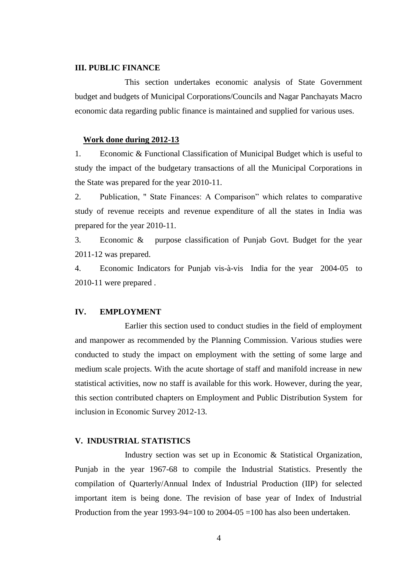#### **III. PUBLIC FINANCE**

 This section undertakes economic analysis of State Government budget and budgets of Municipal Corporations/Councils and Nagar Panchayats Macro economic data regarding public finance is maintained and supplied for various uses.

#### **Work done during 2012-13**

1. Economic & Functional Classification of Municipal Budget which is useful to study the impact of the budgetary transactions of all the Municipal Corporations in the State was prepared for the year 2010-11.

2. Publication, " State Finances: A Comparison" which relates to comparative study of revenue receipts and revenue expenditure of all the states in India was prepared for the year 2010-11.

3. Economic & purpose classification of Punjab Govt. Budget for the year 2011-12 was prepared.

4. Economic Indicators for Punjab vis-à-vis India for the year 2004-05 to 2010-11 were prepared .

#### **IV. EMPLOYMENT**

 Earlier this section used to conduct studies in the field of employment and manpower as recommended by the Planning Commission. Various studies were conducted to study the impact on employment with the setting of some large and medium scale projects. With the acute shortage of staff and manifold increase in new statistical activities, now no staff is available for this work. However, during the year, this section contributed chapters on Employment and Public Distribution System for inclusion in Economic Survey 2012-13.

#### **V. INDUSTRIAL STATISTICS**

 Industry section was set up in Economic & Statistical Organization, Punjab in the year 1967-68 to compile the Industrial Statistics. Presently the compilation of Quarterly/Annual Index of Industrial Production (IIP) for selected important item is being done. The revision of base year of Index of Industrial Production from the year 1993-94=100 to 2004-05 =100 has also been undertaken.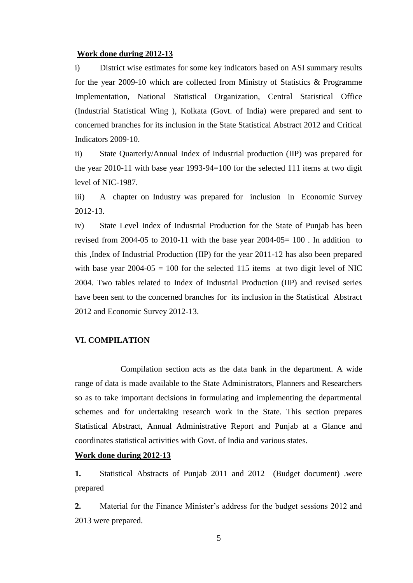#### **Work done during 2012-13**

i) District wise estimates for some key indicators based on ASI summary results for the year 2009-10 which are collected from Ministry of Statistics & Programme Implementation, National Statistical Organization, Central Statistical Office (Industrial Statistical Wing ), Kolkata (Govt. of India) were prepared and sent to concerned branches for its inclusion in the State Statistical Abstract 2012 and Critical Indicators 2009-10.

ii) State Quarterly/Annual Index of Industrial production (IIP) was prepared for the year 2010-11 with base year 1993-94=100 for the selected 111 items at two digit level of NIC-1987.

iii) A chapter on Industry was prepared for inclusion in Economic Survey 2012-13.

iv) State Level Index of Industrial Production for the State of Punjab has been revised from 2004-05 to 2010-11 with the base year 2004-05= 100 . In addition to this ,Index of Industrial Production (IIP) for the year 2011-12 has also been prepared with base year  $2004-05 = 100$  for the selected 115 items at two digit level of NIC 2004. Two tables related to Index of Industrial Production (IIP) and revised series have been sent to the concerned branches for its inclusion in the Statistical Abstract 2012 and Economic Survey 2012-13.

#### **VI. COMPILATION**

 Compilation section acts as the data bank in the department. A wide range of data is made available to the State Administrators, Planners and Researchers so as to take important decisions in formulating and implementing the departmental schemes and for undertaking research work in the State. This section prepares Statistical Abstract, Annual Administrative Report and Punjab at a Glance and coordinates statistical activities with Govt. of India and various states.

#### **Work done during 2012-13**

**1.** Statistical Abstracts of Punjab 2011 and 2012 (Budget document) .were prepared

**2.** Material for the Finance Minister's address for the budget sessions 2012 and 2013 were prepared.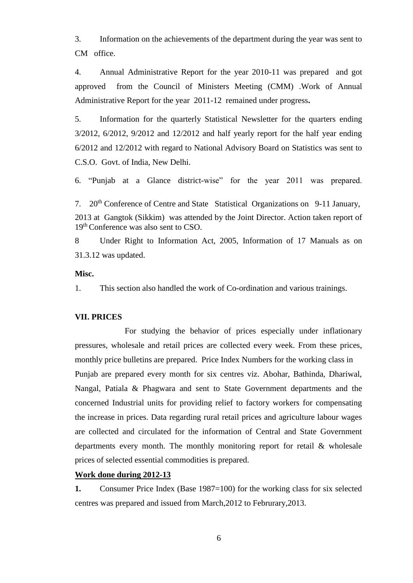3. Information on the achievements of the department during the year was sent to CM office.

4. Annual Administrative Report for the year 2010-11 was prepared and got approved from the Council of Ministers Meeting (CMM) .Work of Annual Administrative Report for the year 2011-12 remained under progress**.**

5. Information for the quarterly Statistical Newsletter for the quarters ending 3/2012, 6/2012, 9/2012 and 12/2012 and half yearly report for the half year ending 6/2012 and 12/2012 with regard to National Advisory Board on Statistics was sent to C.S.O. Govt. of India, New Delhi.

6. "Punjab at a Glance district-wise" for the year 2011 was prepared.

7. 20th Conference of Centre and State Statistical Organizations on 9-11 January, 2013 at Gangtok (Sikkim) was attended by the Joint Director. Action taken report of 19<sup>th</sup> Conference was also sent to CSO.

8 Under Right to Information Act, 2005, Information of 17 Manuals as on 31.3.12 was updated.

#### **Misc.**

1. This section also handled the work of Co-ordination and various trainings.

#### **VII. PRICES**

 For studying the behavior of prices especially under inflationary pressures, wholesale and retail prices are collected every week. From these prices, monthly price bulletins are prepared. Price Index Numbers for the working class in Punjab are prepared every month for six centres viz. Abohar, Bathinda, Dhariwal, Nangal, Patiala & Phagwara and sent to State Government departments and the concerned Industrial units for providing relief to factory workers for compensating the increase in prices. Data regarding rural retail prices and agriculture labour wages are collected and circulated for the information of Central and State Government departments every month. The monthly monitoring report for retail & wholesale prices of selected essential commodities is prepared.

#### **Work done during 2012-13**

**1.** Consumer Price Index (Base 1987=100) for the working class for six selected centres was prepared and issued from March,2012 to Februrary,2013.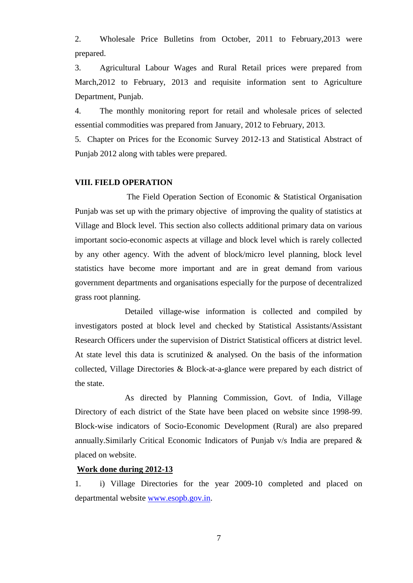2. Wholesale Price Bulletins from October, 2011 to February,2013 were prepared.

3. Agricultural Labour Wages and Rural Retail prices were prepared from March,2012 to February, 2013 and requisite information sent to Agriculture Department, Punjab.

4. The monthly monitoring report for retail and wholesale prices of selected essential commodities was prepared from January, 2012 to February, 2013.

5. Chapter on Prices for the Economic Survey 2012-13 and Statistical Abstract of Punjab 2012 along with tables were prepared.

#### **VIII. FIELD OPERATION**

 The Field Operation Section of Economic & Statistical Organisation Punjab was set up with the primary objective of improving the quality of statistics at Village and Block level. This section also collects additional primary data on various important socio-economic aspects at village and block level which is rarely collected by any other agency. With the advent of block/micro level planning, block level statistics have become more important and are in great demand from various government departments and organisations especially for the purpose of decentralized grass root planning.

 Detailed village-wise information is collected and compiled by investigators posted at block level and checked by Statistical Assistants/Assistant Research Officers under the supervision of District Statistical officers at district level. At state level this data is scrutinized & analysed. On the basis of the information collected, Village Directories & Block-at-a-glance were prepared by each district of the state.

 As directed by Planning Commission, Govt. of India, Village Directory of each district of the State have been placed on website since 1998-99. Block-wise indicators of Socio-Economic Development (Rural) are also prepared annually.Similarly Critical Economic Indicators of Punjab v/s India are prepared & placed on website.

#### **Work done during 2012-13**

1. i) Village Directories for the year 2009-10 completed and placed on departmental website [www.esopb.gov.in.](http://www.esopb.gov.in/)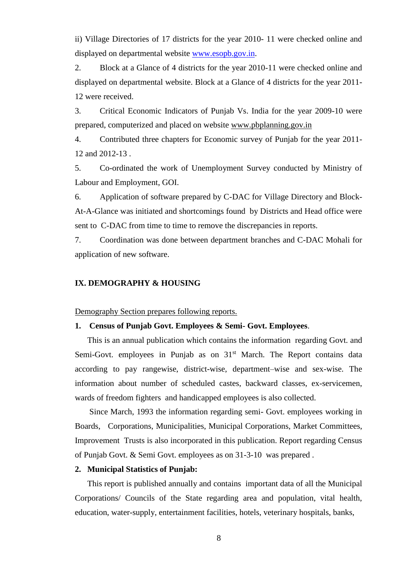ii) Village Directories of 17 districts for the year 2010- 11 were checked online and displayed on departmental website [www.esopb.gov.in.](http://www.esopb.gov.in/)

2. Block at a Glance of 4 districts for the year 2010-11 were checked online and displayed on departmental website. Block at a Glance of 4 districts for the year 2011- 12 were received.

3. Critical Economic Indicators of Punjab Vs. India for the year 2009-10 were prepared, computerized and placed on website [www.pbplanning.gov.in](http://www.pbplanning.gov.in/)

4. Contributed three chapters for Economic survey of Punjab for the year 2011- 12 and 2012-13 .

5. Co-ordinated the work of Unemployment Survey conducted by Ministry of Labour and Employment, GOI.

6. Application of software prepared by C-DAC for Village Directory and Block-At-A-Glance was initiated and shortcomings found by Districts and Head office were sent to C-DAC from time to time to remove the discrepancies in reports.

7. Coordination was done between department branches and C-DAC Mohali for application of new software.

#### **IX. DEMOGRAPHY & HOUSING**

Demography Section prepares following reports.

#### **1. Census of Punjab Govt. Employees & Semi- Govt. Employees**.

 This is an annual publication which contains the information regarding Govt. and Semi-Govt. employees in Punjab as on 31<sup>st</sup> March. The Report contains data according to pay rangewise, district-wise, department–wise and sex-wise. The information about number of scheduled castes, backward classes, ex-servicemen, wards of freedom fighters and handicapped employees is also collected.

 Since March, 1993 the information regarding semi- Govt. employees working in Boards, Corporations, Municipalities, Municipal Corporations, Market Committees, Improvement Trusts is also incorporated in this publication. Report regarding Census of Punjab Govt. & Semi Govt. employees as on 31-3-10 was prepared .

#### **2. Municipal Statistics of Punjab:**

 This report is published annually and contains important data of all the Municipal Corporations/ Councils of the State regarding area and population, vital health, education, water-supply, entertainment facilities, hotels, veterinary hospitals, banks,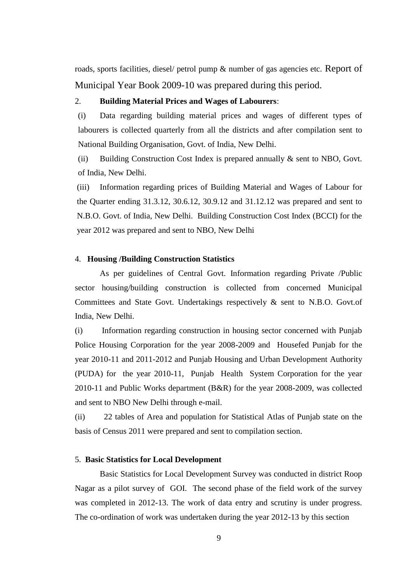roads, sports facilities, diesel/ petrol pump & number of gas agencies etc. Report of Municipal Year Book 2009-10 was prepared during this period.

#### 2. **Building Material Prices and Wages of Labourers**:

(i) Data regarding building material prices and wages of different types of labourers is collected quarterly from all the districts and after compilation sent to National Building Organisation, Govt. of India, New Delhi.

(ii) Building Construction Cost Index is prepared annually & sent to NBO, Govt. of India, New Delhi.

(iii) Information regarding prices of Building Material and Wages of Labour for the Quarter ending 31.3.12, 30.6.12, 30.9.12 and 31.12.12 was prepared and sent to N.B.O. Govt. of India, New Delhi. Building Construction Cost Index (BCCI) for the year 2012 was prepared and sent to NBO, New Delhi

#### 4. **Housing /Building Construction Statistics**

 As per guidelines of Central Govt. Information regarding Private /Public sector housing/building construction is collected from concerned Municipal Committees and State Govt. Undertakings respectively & sent to N.B.O. Govt.of India, New Delhi.

(i) Information regarding construction in housing sector concerned with Punjab Police Housing Corporation for the year 2008-2009 and Housefed Punjab for the year 2010-11 and 2011-2012 and Punjab Housing and Urban Development Authority (PUDA) for the year 2010-11, Punjab Health System Corporation for the year 2010-11 and Public Works department (B&R) for the year 2008-2009, was collected and sent to NBO New Delhi through e-mail.

(ii) 22 tables of Area and population for Statistical Atlas of Punjab state on the basis of Census 2011 were prepared and sent to compilation section.

#### 5. **Basic Statistics for Local Development**

 Basic Statistics for Local Development Survey was conducted in district Roop Nagar as a pilot survey of GOI. The second phase of the field work of the survey was completed in 2012-13. The work of data entry and scrutiny is under progress. The co-ordination of work was undertaken during the year 2012-13 by this section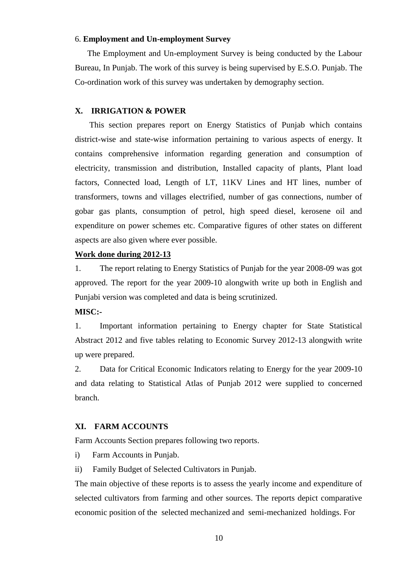#### 6. **Employment and Un-employment Survey**

 The Employment and Un-employment Survey is being conducted by the Labour Bureau, In Punjab. The work of this survey is being supervised by E.S.O. Punjab. The Co-ordination work of this survey was undertaken by demography section.

#### **X. IRRIGATION & POWER**

 This section prepares report on Energy Statistics of Punjab which contains district-wise and state-wise information pertaining to various aspects of energy. It contains comprehensive information regarding generation and consumption of electricity, transmission and distribution, Installed capacity of plants, Plant load factors, Connected load, Length of LT, 11KV Lines and HT lines, number of transformers, towns and villages electrified, number of gas connections, number of gobar gas plants, consumption of petrol, high speed diesel, kerosene oil and expenditure on power schemes etc. Comparative figures of other states on different aspects are also given where ever possible.

#### **Work done during 2012-13**

1. The report relating to Energy Statistics of Punjab for the year 2008-09 was got approved. The report for the year 2009-10 alongwith write up both in English and Punjabi version was completed and data is being scrutinized.

**MISC:-**

1. Important information pertaining to Energy chapter for State Statistical Abstract 2012 and five tables relating to Economic Survey 2012-13 alongwith write up were prepared.

2. Data for Critical Economic Indicators relating to Energy for the year 2009-10 and data relating to Statistical Atlas of Punjab 2012 were supplied to concerned branch.

#### **XI. FARM ACCOUNTS**

Farm Accounts Section prepares following two reports.

- i) Farm Accounts in Punjab.
- ii) Family Budget of Selected Cultivators in Punjab.

The main objective of these reports is to assess the yearly income and expenditure of selected cultivators from farming and other sources. The reports depict comparative economic position of the selected mechanized and semi-mechanized holdings. For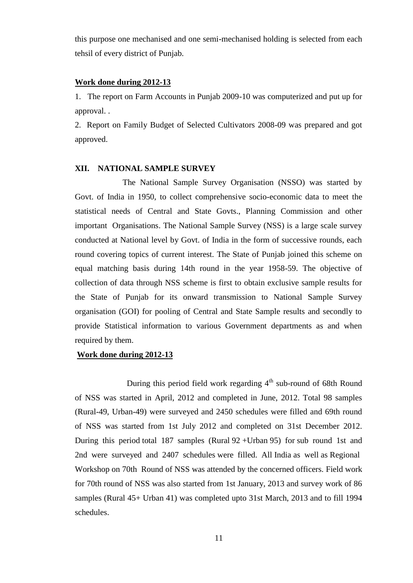this purpose one mechanised and one semi-mechanised holding is selected from each tehsil of every district of Punjab.

#### **Work done during 2012-13**

1. The report on Farm Accounts in Punjab 2009-10 was computerized and put up for approval. .

2. Report on Family Budget of Selected Cultivators 2008-09 was prepared and got approved.

#### **XII. NATIONAL SAMPLE SURVEY**

 The National Sample Survey Organisation (NSSO) was started by Govt. of India in 1950, to collect comprehensive socio-economic data to meet the statistical needs of Central and State Govts., Planning Commission and other important Organisations. The National Sample Survey (NSS) is a large scale survey conducted at National level by Govt. of India in the form of successive rounds, each round covering topics of current interest. The State of Punjab joined this scheme on equal matching basis during 14th round in the year 1958-59. The objective of collection of data through NSS scheme is first to obtain exclusive sample results for the State of Punjab for its onward transmission to National Sample Survey organisation (GOI) for pooling of Central and State Sample results and secondly to provide Statistical information to various Government departments as and when required by them.

#### **Work done during 2012-13**

During this period field work regarding  $4<sup>th</sup>$  sub-round of 68th Round of NSS was started in April, 2012 and completed in June, 2012. Total 98 samples (Rural-49, Urban-49) were surveyed and 2450 schedules were filled and 69th round of NSS was started from 1st July 2012 and completed on 31st December 2012. During this period total 187 samples (Rural 92 +Urban 95) for sub round 1st and 2nd were surveyed and 2407 schedules were filled. All India as well as Regional Workshop on 70th Round of NSS was attended by the concerned officers. Field work for 70th round of NSS was also started from 1st January, 2013 and survey work of 86 samples (Rural 45+ Urban 41) was completed upto 31st March, 2013 and to fill 1994 schedules.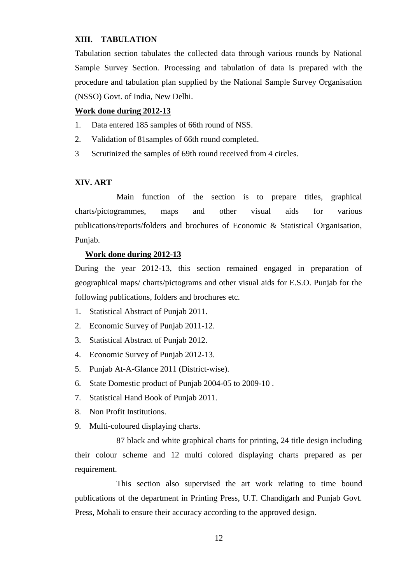#### **XIII. TABULATION**

Tabulation section tabulates the collected data through various rounds by National Sample Survey Section. Processing and tabulation of data is prepared with the procedure and tabulation plan supplied by the National Sample Survey Organisation (NSSO) Govt. of India, New Delhi.

#### **Work done during 2012-13**

- 1. Data entered 185 samples of 66th round of NSS.
- 2. Validation of 81samples of 66th round completed.
- 3 Scrutinized the samples of 69th round received from 4 circles.

#### **XIV. ART**

 Main function of the section is to prepare titles, graphical charts/pictogrammes, maps and other visual aids for various publications/reports/folders and brochures of Economic & Statistical Organisation, Punjab.

#### **Work done during 2012-13**

During the year 2012-13, this section remained engaged in preparation of geographical maps/ charts/pictograms and other visual aids for E.S.O. Punjab for the following publications, folders and brochures etc.

- 1. Statistical Abstract of Punjab 2011.
- 2. Economic Survey of Punjab 2011-12.
- 3. Statistical Abstract of Punjab 2012.
- 4. Economic Survey of Punjab 2012-13.
- 5. Punjab At-A-Glance 2011 (District-wise).
- 6. State Domestic product of Punjab 2004-05 to 2009-10 .
- 7. Statistical Hand Book of Punjab 2011.
- 8. Non Profit Institutions.
- 9. Multi-coloured displaying charts.

 87 black and white graphical charts for printing, 24 title design including their colour scheme and 12 multi colored displaying charts prepared as per requirement.

 This section also supervised the art work relating to time bound publications of the department in Printing Press, U.T. Chandigarh and Punjab Govt. Press, Mohali to ensure their accuracy according to the approved design.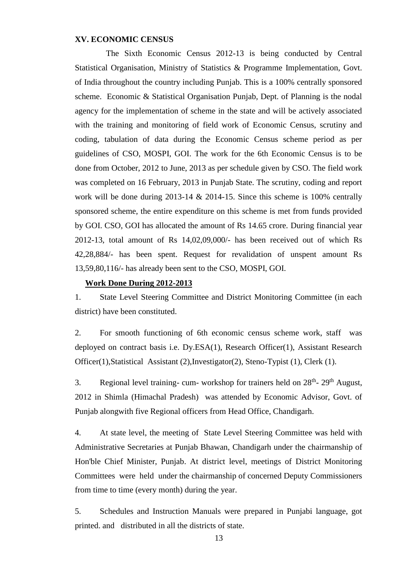#### **XV. ECONOMIC CENSUS**

 The Sixth Economic Census 2012-13 is being conducted by Central Statistical Organisation, Ministry of Statistics & Programme Implementation, Govt. of India throughout the country including Punjab. This is a 100% centrally sponsored scheme. Economic & Statistical Organisation Punjab, Dept. of Planning is the nodal agency for the implementation of scheme in the state and will be actively associated with the training and monitoring of field work of Economic Census, scrutiny and coding, tabulation of data during the Economic Census scheme period as per guidelines of CSO, MOSPI, GOI. The work for the 6th Economic Census is to be done from October, 2012 to June, 2013 as per schedule given by CSO. The field work was completed on 16 February, 2013 in Punjab State. The scrutiny, coding and report work will be done during 2013-14 & 2014-15. Since this scheme is 100% centrally sponsored scheme, the entire expenditure on this scheme is met from funds provided by GOI. CSO, GOI has allocated the amount of Rs 14.65 crore. During financial year 2012-13, total amount of Rs 14,02,09,000/- has been received out of which Rs 42,28,884/- has been spent. Request for revalidation of unspent amount Rs 13,59,80,116/- has already been sent to the CSO, MOSPI, GOI.

#### **Work Done During 2012-2013**

1. State Level Steering Committee and District Monitoring Committee (in each district) have been constituted.

2. For smooth functioning of 6th economic census scheme work, staff was deployed on contract basis i.e. Dy.ESA(1), Research Officer(1), Assistant Research Officer(1),Statistical Assistant (2),Investigator(2), Steno-Typist (1), Clerk (1).

3. Regional level training- cum- workshop for trainers held on  $28<sup>th</sup>$ -  $29<sup>th</sup>$  August, 2012 in Shimla (Himachal Pradesh) was attended by Economic Advisor, Govt. of Punjab alongwith five Regional officers from Head Office, Chandigarh.

4. At state level, the meeting of State Level Steering Committee was held with Administrative Secretaries at Punjab Bhawan, Chandigarh under the chairmanship of Hon'ble Chief Minister, Punjab. At district level, meetings of District Monitoring Committees were held under the chairmanship of concerned Deputy Commissioners from time to time (every month) during the year.

5. Schedules and Instruction Manuals were prepared in Punjabi language, got printed. and distributed in all the districts of state.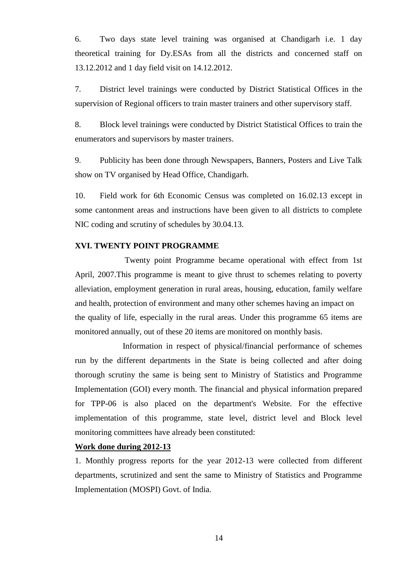6. Two days state level training was organised at Chandigarh i.e. 1 day theoretical training for Dy.ESAs from all the districts and concerned staff on 13.12.2012 and 1 day field visit on 14.12.2012.

7. District level trainings were conducted by District Statistical Offices in the supervision of Regional officers to train master trainers and other supervisory staff.

8. Block level trainings were conducted by District Statistical Offices to train the enumerators and supervisors by master trainers.

9. Publicity has been done through Newspapers, Banners, Posters and Live Talk show on TV organised by Head Office, Chandigarh.

10. Field work for 6th Economic Census was completed on 16.02.13 except in some cantonment areas and instructions have been given to all districts to complete NIC coding and scrutiny of schedules by 30.04.13.

#### **XVI. TWENTY POINT PROGRAMME**

 Twenty point Programme became operational with effect from 1st April, 2007.This programme is meant to give thrust to schemes relating to poverty alleviation, employment generation in rural areas, housing, education, family welfare and health, protection of environment and many other schemes having an impact on the quality of life, especially in the rural areas. Under this programme 65 items are monitored annually, out of these 20 items are monitored on monthly basis.

 Information in respect of physical/financial performance of schemes run by the different departments in the State is being collected and after doing thorough scrutiny the same is being sent to Ministry of Statistics and Programme Implementation (GOI) every month. The financial and physical information prepared for TPP-06 is also placed on the department's Website. For the effective implementation of this programme, state level, district level and Block level monitoring committees have already been constituted:

#### **Work done during 2012-13**

1. Monthly progress reports for the year 2012-13 were collected from different departments, scrutinized and sent the same to Ministry of Statistics and Programme Implementation (MOSPI) Govt. of India.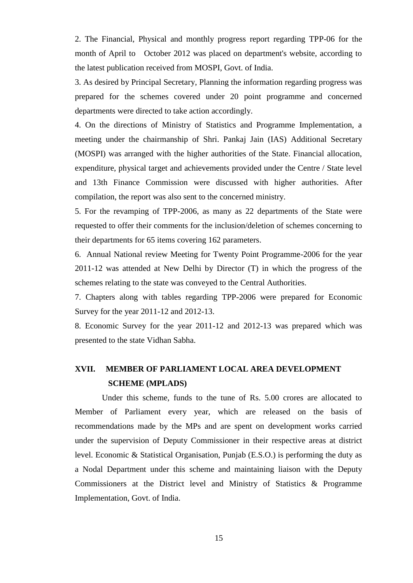2. The Financial, Physical and monthly progress report regarding TPP-06 for the month of April to October 2012 was placed on department's website, according to the latest publication received from MOSPI, Govt. of India.

3. As desired by Principal Secretary, Planning the information regarding progress was prepared for the schemes covered under 20 point programme and concerned departments were directed to take action accordingly.

4. On the directions of Ministry of Statistics and Programme Implementation, a meeting under the chairmanship of Shri. Pankaj Jain (IAS) Additional Secretary (MOSPI) was arranged with the higher authorities of the State. Financial allocation, expenditure, physical target and achievements provided under the Centre / State level and 13th Finance Commission were discussed with higher authorities. After compilation, the report was also sent to the concerned ministry.

5. For the revamping of TPP-2006, as many as 22 departments of the State were requested to offer their comments for the inclusion/deletion of schemes concerning to their departments for 65 items covering 162 parameters.

6. Annual National review Meeting for Twenty Point Programme-2006 for the year 2011-12 was attended at New Delhi by Director (T) in which the progress of the schemes relating to the state was conveyed to the Central Authorities.

7. Chapters along with tables regarding TPP-2006 were prepared for Economic Survey for the year 2011-12 and 2012-13.

8. Economic Survey for the year 2011-12 and 2012-13 was prepared which was presented to the state Vidhan Sabha.

## **XVII. MEMBER OF PARLIAMENT LOCAL AREA DEVELOPMENT SCHEME (MPLADS)**

Under this scheme, funds to the tune of Rs. 5.00 crores are allocated to Member of Parliament every year, which are released on the basis of recommendations made by the MPs and are spent on development works carried under the supervision of Deputy Commissioner in their respective areas at district level. Economic & Statistical Organisation, Punjab (E.S.O.) is performing the duty as a Nodal Department under this scheme and maintaining liaison with the Deputy Commissioners at the District level and Ministry of Statistics & Programme Implementation, Govt. of India.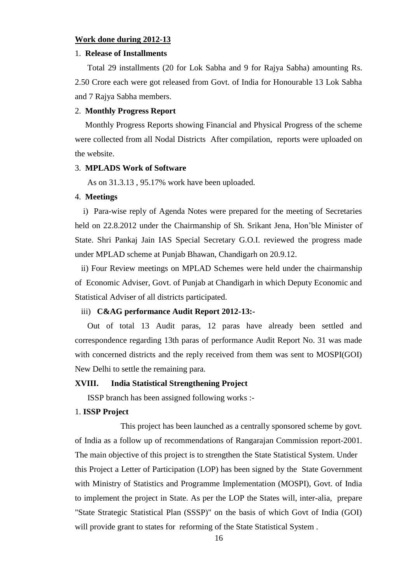#### **Work done during 2012-13**

#### 1. **Release of Installments**

 Total 29 installments (20 for Lok Sabha and 9 for Rajya Sabha) amounting Rs. 2.50 Crore each were got released from Govt. of India for Honourable 13 Lok Sabha and 7 Rajya Sabha members.

#### 2. **Monthly Progress Report**

 Monthly Progress Reports showing Financial and Physical Progress of the scheme were collected from all Nodal Districts After compilation, reports were uploaded on the website.

#### 3. **MPLADS Work of Software**

As on 31.3.13 , 95.17% work have been uploaded.

#### 4. **Meetings**

 i) Para-wise reply of Agenda Notes were prepared for the meeting of Secretaries held on 22.8.2012 under the Chairmanship of Sh. Srikant Jena, Hon'ble Minister of State. Shri Pankaj Jain IAS Special Secretary G.O.I. reviewed the progress made under MPLAD scheme at Punjab Bhawan, Chandigarh on 20.9.12.

 ii) Four Review meetings on MPLAD Schemes were held under the chairmanship of Economic Adviser, Govt. of Punjab at Chandigarh in which Deputy Economic and Statistical Adviser of all districts participated.

#### iii) **C&AG performance Audit Report 2012-13:-**

 Out of total 13 Audit paras, 12 paras have already been settled and correspondence regarding 13th paras of performance Audit Report No. 31 was made with concerned districts and the reply received from them was sent to MOSPI(GOI) New Delhi to settle the remaining para.

#### **XVIII. India Statistical Strengthening Project**

ISSP branch has been assigned following works :-

#### 1. **ISSP Project**

 This project has been launched as a centrally sponsored scheme by govt. of India as a follow up of recommendations of Rangarajan Commission report-2001. The main objective of this project is to strengthen the State Statistical System. Under this Project a Letter of Participation (LOP) has been signed by the State Government with Ministry of Statistics and Programme Implementation (MOSPI), Govt. of India to implement the project in State. As per the LOP the States will, inter-alia, prepare "State Strategic Statistical Plan (SSSP)" on the basis of which Govt of India (GOI) will provide grant to states for reforming of the State Statistical System.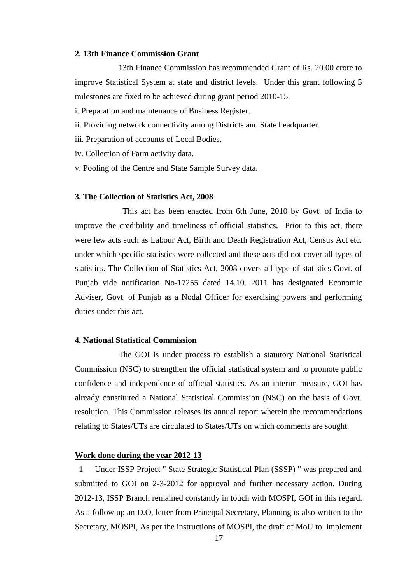#### **2. 13th Finance Commission Grant**

 13th Finance Commission has recommended Grant of Rs. 20.00 crore to improve Statistical System at state and district levels. Under this grant following 5 milestones are fixed to be achieved during grant period 2010-15.

i. Preparation and maintenance of Business Register.

ii. Providing network connectivity among Districts and State headquarter.

- iii. Preparation of accounts of Local Bodies.
- iv. Collection of Farm activity data.
- v. Pooling of the Centre and State Sample Survey data.

#### **3. The Collection of Statistics Act, 2008**

 This act has been enacted from 6th June, 2010 by Govt. of India to improve the credibility and timeliness of official statistics. Prior to this act, there were few acts such as Labour Act, Birth and Death Registration Act, Census Act etc. under which specific statistics were collected and these acts did not cover all types of statistics. The Collection of Statistics Act, 2008 covers all type of statistics Govt. of Punjab vide notification No-17255 dated 14.10. 2011 has designated Economic Adviser, Govt. of Punjab as a Nodal Officer for exercising powers and performing duties under this act.

#### **4. National Statistical Commission**

 The GOI is under process to establish a statutory National Statistical Commission (NSC) to strengthen the official statistical system and to promote public confidence and independence of official statistics. As an interim measure, GOI has already constituted a National Statistical Commission (NSC) on the basis of Govt. resolution. This Commission releases its annual report wherein the recommendations relating to States/UTs are circulated to States/UTs on which comments are sought.

#### **Work done during the year 2012-13**

 1 Under ISSP Project " State Strategic Statistical Plan (SSSP) " was prepared and submitted to GOI on 2-3-2012 for approval and further necessary action. During 2012-13, ISSP Branch remained constantly in touch with MOSPI, GOI in this regard. As a follow up an D.O, letter from Principal Secretary, Planning is also written to the Secretary, MOSPI, As per the instructions of MOSPI, the draft of MoU to implement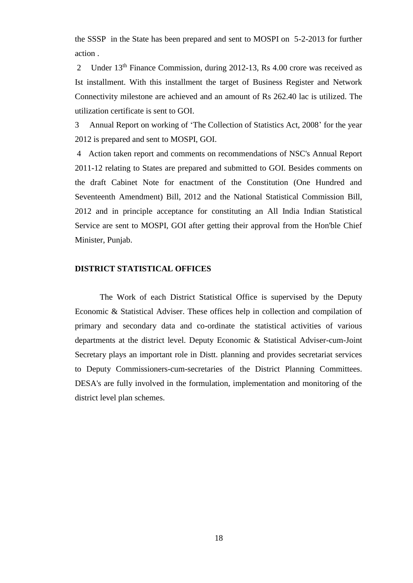the SSSP in the State has been prepared and sent to MOSPI on 5-2-2013 for further action .

2 Under 13<sup>th</sup> Finance Commission, during 2012-13, Rs 4.00 crore was received as Ist installment. With this installment the target of Business Register and Network Connectivity milestone are achieved and an amount of Rs 262.40 lac is utilized. The utilization certificate is sent to GOI.

3 Annual Report on working of 'The Collection of Statistics Act, 2008' for the year 2012 is prepared and sent to MOSPI, GOI.

4 Action taken report and comments on recommendations of NSC's Annual Report 2011-12 relating to States are prepared and submitted to GOI. Besides comments on the draft Cabinet Note for enactment of the Constitution (One Hundred and Seventeenth Amendment) Bill, 2012 and the National Statistical Commission Bill, 2012 and in principle acceptance for constituting an All India Indian Statistical Service are sent to MOSPI, GOI after getting their approval from the Hon'ble Chief Minister, Punjab.

#### **DISTRICT STATISTICAL OFFICES**

The Work of each District Statistical Office is supervised by the Deputy Economic & Statistical Adviser. These offices help in collection and compilation of primary and secondary data and co-ordinate the statistical activities of various departments at the district level. Deputy Economic & Statistical Adviser-cum-Joint Secretary plays an important role in Distt. planning and provides secretariat services to Deputy Commissioners-cum-secretaries of the District Planning Committees. DESA's are fully involved in the formulation, implementation and monitoring of the district level plan schemes.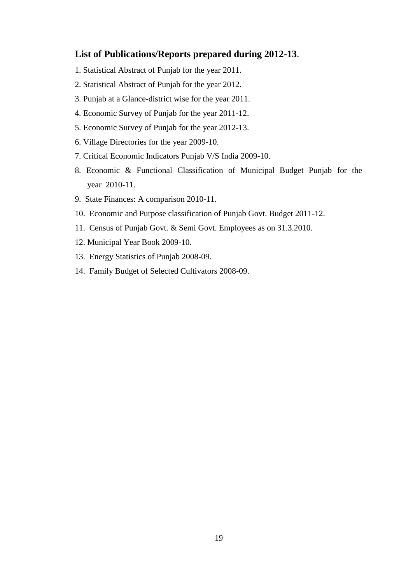### **List of Publications/Reports prepared during 2012-13**.

- 1. Statistical Abstract of Punjab for the year 2011.
- 2. Statistical Abstract of Punjab for the year 2012.
- 3. Punjab at a Glance-district wise for the year 2011.
- 4. Economic Survey of Punjab for the year 2011-12.
- 5. Economic Survey of Punjab for the year 2012-13.
- 6. Village Directories for the year 2009-10.
- 7. Critical Economic Indicators Punjab V/S India 2009-10.
- 8. Economic & Functional Classification of Municipal Budget Punjab for the year 2010-11.
- 9. State Finances: A comparison 2010-11.
- 10. Economic and Purpose classification of Punjab Govt. Budget 2011-12.
- 11. Census of Punjab Govt. & Semi Govt. Employees as on 31.3.2010.
- 12. Municipal Year Book 2009-10.
- 13. Energy Statistics of Punjab 2008-09.
- 14. Family Budget of Selected Cultivators 2008-09.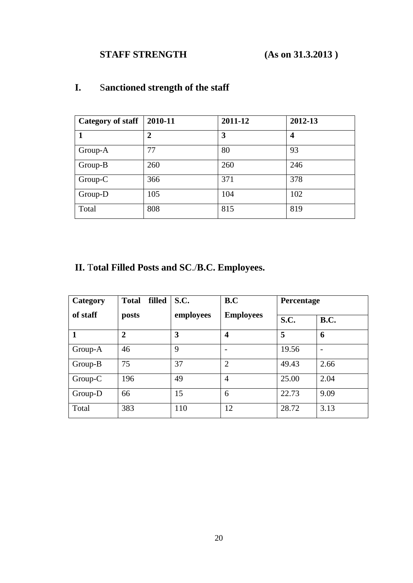# **STAFF STRENGTH** (As on 31.3.2013)

| <b>Category of staff</b> | 2010-11        | 2011-12 | 2012-13 |
|--------------------------|----------------|---------|---------|
|                          | $\overline{2}$ | 3       | 4       |
| Group-A                  | 77             | 80      | 93      |
| Group-B                  | 260            | 260     | 246     |
| Group-C                  | 366            | 371     | 378     |
| Group-D                  | 105            | 104     | 102     |
| Total                    | 808            | 815     | 819     |

# **I.** S**anctioned strength of the staff**

# **II.** T**otal Filled Posts and SC**./**B.C. Employees.**

| Category | filled<br><b>Total</b> | S.C.      | B.C                     | Percentage  |             |
|----------|------------------------|-----------|-------------------------|-------------|-------------|
| of staff | posts                  | employees | <b>Employees</b>        | <b>S.C.</b> | <b>B.C.</b> |
| 1        | $\overline{2}$         | 3         | $\overline{\mathbf{4}}$ | 5           | 6           |
| Group-A  | 46                     | 9         | $\overline{a}$          | 19.56       |             |
| Group-B  | 75                     | 37        | $\overline{2}$          | 49.43       | 2.66        |
| Group-C  | 196                    | 49        | $\overline{4}$          | 25.00       | 2.04        |
| Group-D  | 66                     | 15        | 6                       | 22.73       | 9.09        |
| Total    | 383                    | 110       | 12                      | 28.72       | 3.13        |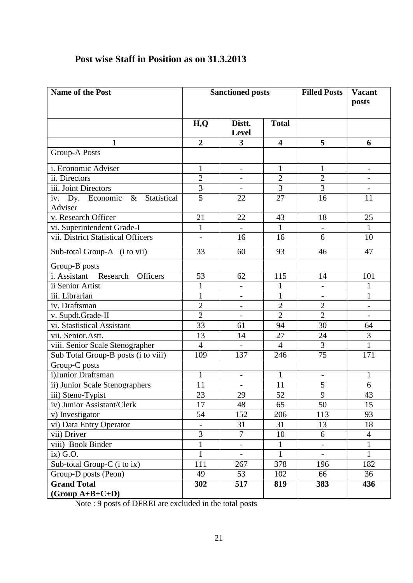| Name of the Post                     | <b>Sanctioned posts</b>  |                              |                         | <b>Filled Posts</b>      | <b>Vacant</b>            |
|--------------------------------------|--------------------------|------------------------------|-------------------------|--------------------------|--------------------------|
|                                      |                          |                              |                         |                          | posts                    |
|                                      |                          |                              |                         |                          |                          |
|                                      | H,Q                      | Distt.<br><b>Level</b>       | <b>Total</b>            |                          |                          |
| $\mathbf{1}$                         | $\overline{2}$           | 3                            | $\overline{\mathbf{4}}$ | 5                        | 6                        |
| <b>Group-A Posts</b>                 |                          |                              |                         |                          |                          |
| i. Economic Adviser                  | $\mathbf{1}$             | $\overline{\phantom{a}}$     | $\mathbf{1}$            | $\mathbf{1}$             |                          |
| ii. Directors                        | $\overline{2}$           | $\overline{\phantom{a}}$     | $\overline{2}$          | $\overline{2}$           | $\overline{\phantom{0}}$ |
| iii. Joint Directors                 | $\overline{3}$           |                              | $\overline{3}$          | $\overline{3}$           |                          |
| iv. Dy. Economic & Statistical       | $\overline{5}$           | 22                           | 27                      | 16                       | 11                       |
| Adviser                              |                          |                              |                         |                          |                          |
| v. Research Officer                  | 21                       | 22                           | 43                      | 18                       | 25                       |
| vi. Superintendent Grade-I           | $\mathbf{1}$             |                              | $\mathbf{1}$            |                          | $\mathbf{1}$             |
| vii. District Statistical Officers   | $\overline{\phantom{0}}$ | 16                           | 16                      | 6                        | 10                       |
| Sub-total Group-A (i to vii)         | 33                       | 60                           | 93                      | 46                       | 47                       |
| Group-B posts                        |                          |                              |                         |                          |                          |
| i. Assistant<br>Officers<br>Research | 53                       | 62                           | 115                     | 14                       | 101                      |
| ii Senior Artist                     | $\mathbf{1}$             | ÷,                           | $\mathbf{1}$            | $\qquad \qquad -$        | $\mathbf{1}$             |
| iii. Librarian                       | $\mathbf{1}$             | -                            | $\mathbf{1}$            |                          | $\mathbf{1}$             |
| iv. Draftsman                        | $\overline{2}$           | $\overline{\phantom{a}}$     | $\overline{2}$          | $\overline{2}$           | $\overline{a}$           |
| v. Supdt.Grade-II                    | $\overline{2}$           | $\overline{\phantom{a}}$     | $\overline{2}$          | $\overline{2}$           |                          |
| vi. Stastistical Assistant           | 33                       | 61                           | 94                      | 30                       | 64                       |
| vii. Senior.Astt.                    | 13                       | 14                           | 27                      | 24                       | 3                        |
| viii. Senior Scale Stenographer      | $\overline{4}$           | $\frac{1}{2}$                | $\overline{4}$          | 3                        | $\mathbf{1}$             |
| Sub Total Group-B posts (i to viii)  | 109                      | 137                          | 246                     | 75                       | 171                      |
| Group-C posts                        |                          |                              |                         |                          |                          |
| i)Junior Draftsman                   | 1                        | $\qquad \qquad \blacksquare$ | 1                       |                          | $\mathbf{1}$             |
| ii) Junior Scale Stenographers       | 11                       |                              | 11                      | 5                        | 6                        |
| iii) Steno-Typist                    | 23                       | 29                           | 52                      | $\mathbf Q$              | 43                       |
| iv) Junior Assistant/Clerk           | 17                       | 48                           | 65                      | 50                       | 15                       |
| v) Investigator                      | 54                       | 152                          | 206                     | 113                      | 93                       |
| vi) Data Entry Operator              | $\frac{1}{2}$            | 31                           | 31                      | 13                       | 18                       |
| vii) Driver                          | 3                        | $\overline{7}$               | 10                      | 6                        | $\overline{4}$           |
| viii) Book Binder                    | $\mathbf{1}$             | $\overline{\phantom{0}}$     | $\mathbf{1}$            | $\overline{\phantom{0}}$ | $\mathbf{1}$             |
| $ix)$ G.O.                           | $\mathbf{1}$             |                              | $\mathbf{1}$            |                          | $\mathbf{1}$             |
| Sub-total Group-C (i to ix)          | 111                      | 267                          | 378                     | 196                      | 182                      |
| Group-D posts (Peon)                 | 49                       | 53                           | 102                     | 66                       | 36                       |
| <b>Grand Total</b>                   | 302                      | 517                          | 819                     | 383                      | 436                      |
| $(Group A+B+C+D)$                    |                          |                              |                         |                          |                          |

# **Post wise Staff in Position as on 31.3.2013**

Note : 9 posts of DFREI are excluded in the total posts